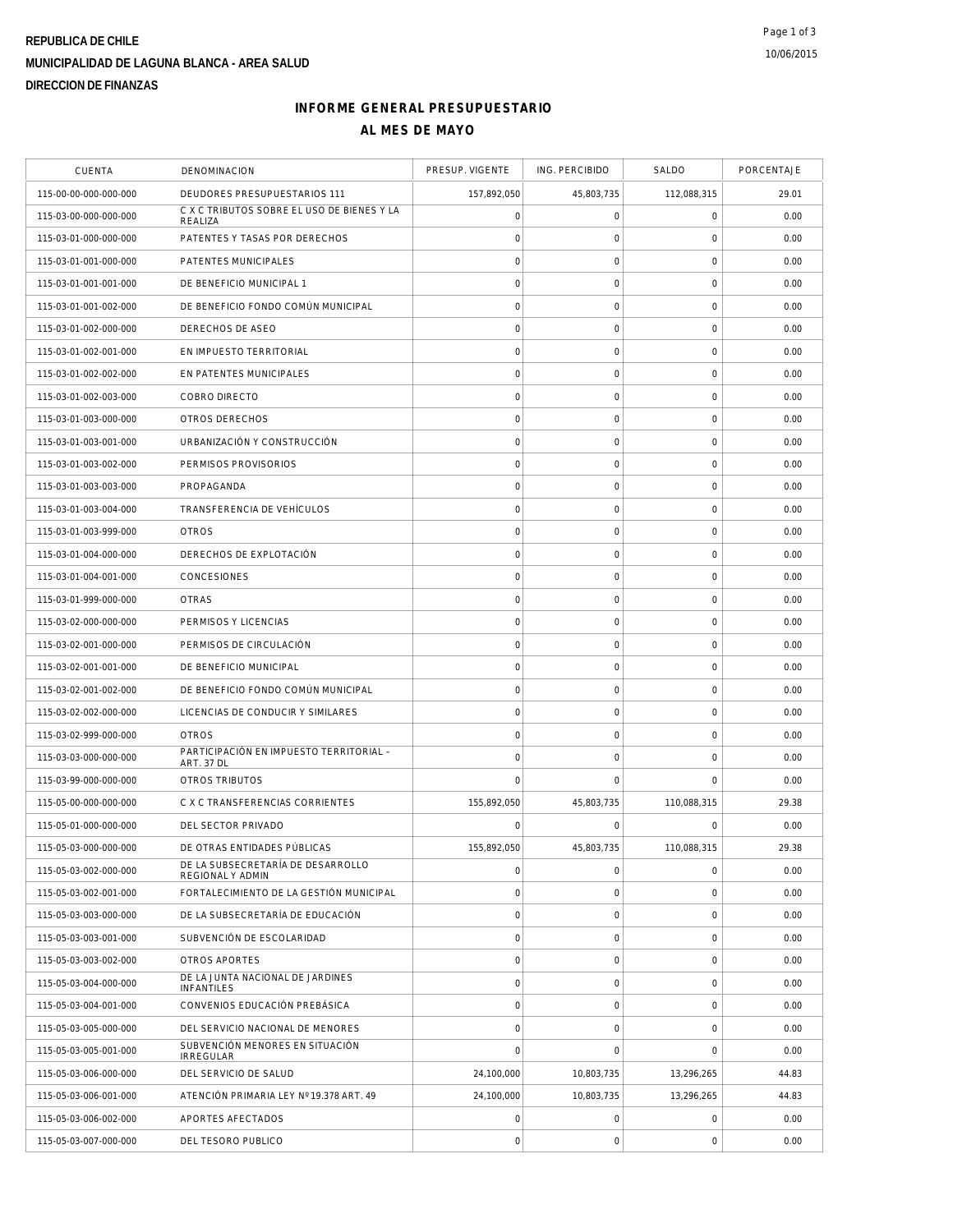# **REPUBLICA DE CHILE MUNICIPALIDAD DE LAGUNA BLANCA - AREA SALUD DIRECCION DE FINANZAS**

### **INFORME GENERAL PRESUPUESTARIO AL MES DE MAYO**

| <b>CUENTA</b>         | DENOMINACION                                          | PRESUP. VIGENTE     | ING. PERCIBIDO      | SALDO               | PORCENTAJE |
|-----------------------|-------------------------------------------------------|---------------------|---------------------|---------------------|------------|
| 115-00-00-000-000-000 | DEUDORES PRESUPUESTARIOS 111                          | 157,892,050         | 45,803,735          | 112,088,315         | 29.01      |
| 115-03-00-000-000-000 | C X C TRIBUTOS SOBRE EL USO DE BIENES Y LA<br>REALIZA | $\mathsf{O}\xspace$ | $\mathsf O$         | $\mathbf 0$         | 0.00       |
| 115-03-01-000-000-000 | PATENTES Y TASAS POR DERECHOS                         | $\mathbf 0$         | 0                   | 0                   | 0.00       |
| 115-03-01-001-000-000 | PATENTES MUNICIPALES                                  | $\mathsf{O}\xspace$ | $\mathsf{O}\xspace$ | $\mathbf 0$         | 0.00       |
| 115-03-01-001-001-000 | DE BENEFICIO MUNICIPAL 1                              | $\mathbf 0$         | $\mathsf O$         | $\mathbf 0$         | 0.00       |
| 115-03-01-001-002-000 | DE BENEFICIO FONDO COMÚN MUNICIPAL                    | $\circ$             | $\mathbf 0$         | $\mathbf 0$         | 0.00       |
| 115-03-01-002-000-000 | DERECHOS DE ASEO                                      | $\circ$             | $\mathsf{O}\xspace$ | $\mathbf 0$         | 0.00       |
| 115-03-01-002-001-000 | EN IMPUESTO TERRITORIAL                               | $\mathsf{O}\xspace$ | $\mathsf{O}\xspace$ | $\mathsf{O}\xspace$ | 0.00       |
| 115-03-01-002-002-000 | EN PATENTES MUNICIPALES                               | $\circ$             | $\mathsf{O}\xspace$ | $\mathsf{O}\xspace$ | 0.00       |
| 115-03-01-002-003-000 | COBRO DIRECTO                                         | $\mathbf 0$         | $\mathsf O$         | $\mathbf 0$         | 0.00       |
| 115-03-01-003-000-000 | OTROS DERECHOS                                        | $\mathsf{O}\xspace$ | $\mathsf{O}\xspace$ | $\mathbf 0$         | 0.00       |
| 115-03-01-003-001-000 | URBANIZACIÓN Y CONSTRUCCIÓN                           | $\circ$             | $\mathsf{O}\xspace$ | $\mathbf 0$         | 0.00       |
| 115-03-01-003-002-000 | PERMISOS PROVISORIOS                                  | $\mathsf{O}\xspace$ | $\mathsf{O}\xspace$ | $\mathbf 0$         | 0.00       |
| 115-03-01-003-003-000 | PROPAGANDA                                            | $\mathbf 0$         | $\mathsf{O}\xspace$ | $\mathbf 0$         | 0.00       |
| 115-03-01-003-004-000 | TRANSFERENCIA DE VEHÍCULOS                            | $\mathbf 0$         | 0                   | 0                   | 0.00       |
| 115-03-01-003-999-000 | <b>OTROS</b>                                          | $\mathsf{O}\xspace$ | $\mathsf O$         | $\mathbf 0$         | 0.00       |
| 115-03-01-004-000-000 | DERECHOS DE EXPLOTACIÓN                               | $\circ$             | $\mathsf O$         | $\mathbf 0$         | 0.00       |
| 115-03-01-004-001-000 | CONCESIONES                                           | $\circ$             | $\mathbf 0$         | $\mathbf 0$         | 0.00       |
| 115-03-01-999-000-000 | <b>OTRAS</b>                                          | $\circ$             | $\mathsf{O}\xspace$ | $\mathbf 0$         | 0.00       |
| 115-03-02-000-000-000 | PERMISOS Y LICENCIAS                                  | $\mathsf{O}\xspace$ | $\mathsf{O}\xspace$ | $\mathbf 0$         | 0.00       |
| 115-03-02-001-000-000 | PERMISOS DE CIRCULACIÓN                               | $\mathbf 0$         | $\mathsf{O}\xspace$ | $\mathsf{O}\xspace$ | 0.00       |
| 115-03-02-001-001-000 | DE BENEFICIO MUNICIPAL                                | $\circ$             | $\mathsf O$         | $\mathbf 0$         | 0.00       |
| 115-03-02-001-002-000 | DE BENEFICIO FONDO COMÚN MUNICIPAL                    | $\circ$             | $\mathsf{O}\xspace$ | $\mathbf 0$         | 0.00       |
| 115-03-02-002-000-000 | LICENCIAS DE CONDUCIR Y SIMILARES                     | $\circ$             | $\mathsf{O}\xspace$ | $\mathbf 0$         | 0.00       |
| 115-03-02-999-000-000 | <b>OTROS</b>                                          | $\mathsf{O}\xspace$ | $\mathsf{O}\xspace$ | $\mathbf 0$         | 0.00       |
| 115-03-03-000-000-000 | PARTICIPACIÓN EN IMPUESTO TERRITORIAL -<br>ART. 37 DL | $\circ$             | $\mathsf{O}\xspace$ | $\mathbf 0$         | 0.00       |
| 115-03-99-000-000-000 | OTROS TRIBUTOS                                        | $\mathbf 0$         | $\mathbf 0$         | 0                   | 0.00       |
| 115-05-00-000-000-000 | C X C TRANSFERENCIAS CORRIENTES                       | 155,892,050         | 45,803,735          | 110,088,315         | 29.38      |
| 115-05-01-000-000-000 | DEL SECTOR PRIVADO                                    | $\Omega$            | $\mathbf 0$         | $\mathbf 0$         | 0.00       |
| 115-05-03-000-000-000 | DE OTRAS ENTIDADES PÚBLICAS                           | 155,892,050         | 45,803,735          | 110,088,315         | 29.38      |
| 115-05-03-002-000-000 | DE LA SUBSECRETARÍA DE DESARROLLO<br>REGIONAL Y ADMIN | $\circ$             | $\mathsf{O}\xspace$ | $\mathbf 0$         | 0.00       |
| 115-05-03-002-001-000 | FORTALECIMIENTO DE LA GESTIÓN MUNICIPAL               | $\mathsf{O}\xspace$ | $\mathsf{O}\xspace$ | $\mathbf 0$         | 0.00       |
| 115-05-03-003-000-000 | DE LA SUBSECRETARÍA DE EDUCACIÓN                      | $\mathbf 0$         | $\mathsf O$         | $\mathbf 0$         | 0.00       |
| 115-05-03-003-001-000 | SUBVENCIÓN DE ESCOLARIDAD                             | $\circ$             | $\mathsf O$         | $\mathbf 0$         | 0.00       |
| 115-05-03-003-002-000 | OTROS APORTES                                         | $\mathsf{O}\xspace$ | $\mathsf{O}\xspace$ | $\mathbf 0$         | 0.00       |
| 115-05-03-004-000-000 | DE LA JUNTA NACIONAL DE JARDINES<br><b>INFANTILES</b> | $\circ$             | $\mathbf 0$         | $\mathbf 0$         | 0.00       |
| 115-05-03-004-001-000 | CONVENIOS EDUCACIÓN PREBÁSICA                         | $\mathsf{O}\xspace$ | $\mathsf{O}\xspace$ | $\mathbf 0$         | 0.00       |
| 115-05-03-005-000-000 | DEL SERVICIO NACIONAL DE MENORES                      | $\circ$             | $\mathsf{O}\xspace$ | $\mathbf 0$         | 0.00       |
| 115-05-03-005-001-000 | SUBVENCIÓN MENORES EN SITUACIÓN<br><b>IRREGULAR</b>   | $\mathbf 0$         | $\mathbf 0$         | $\mathbf 0$         | 0.00       |
| 115-05-03-006-000-000 | DEL SERVICIO DE SALUD                                 | 24,100,000          | 10,803,735          | 13,296,265          | 44.83      |
| 115-05-03-006-001-000 | ATENCIÓN PRIMARIA LEY Nº 19.378 ART. 49               | 24,100,000          | 10,803,735          | 13,296,265          | 44.83      |
| 115-05-03-006-002-000 | APORTES AFECTADOS                                     | 0                   | $\mathsf{O}\xspace$ | $\mathbf 0$         | 0.00       |
| 115-05-03-007-000-000 | DEL TESORO PUBLICO                                    | $\circ$             | $\mathsf{O}\xspace$ | $\mathbf 0$         | 0.00       |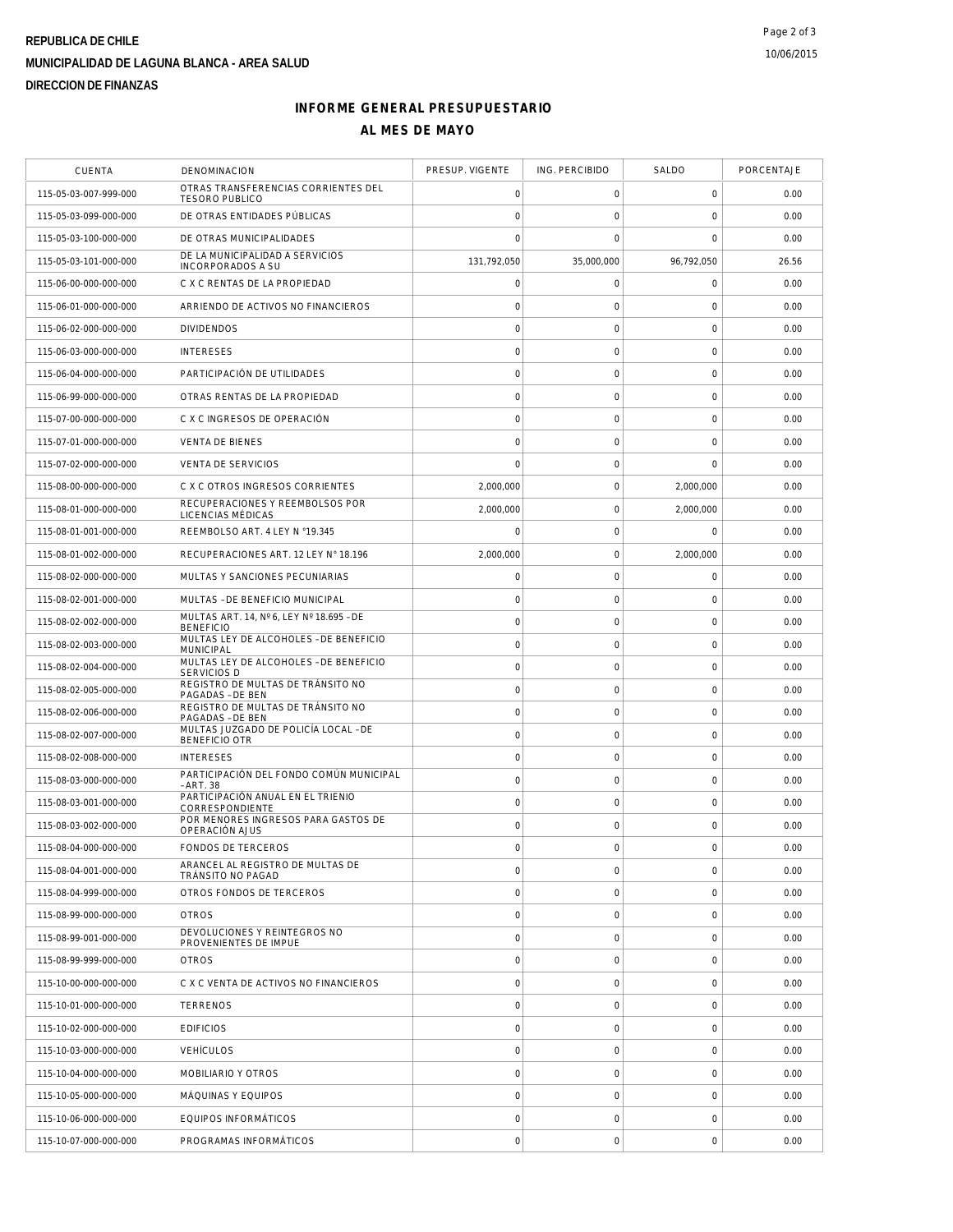# **REPUBLICA DE CHILE MUNICIPALIDAD DE LAGUNA BLANCA - AREA SALUD DIRECCION DE FINANZAS**

### **INFORME GENERAL PRESUPUESTARIO AL MES DE MAYO**

| <b>CUENTA</b>         | DENOMINACION                                                 | PRESUP. VIGENTE     | ING. PERCIBIDO      | SALDO               | PORCENTAJE |
|-----------------------|--------------------------------------------------------------|---------------------|---------------------|---------------------|------------|
| 115-05-03-007-999-000 | OTRAS TRANSFERENCIAS CORRIENTES DEL<br><b>TESORO PUBLICO</b> | 0                   | 0                   | $\mathbf 0$         | 0.00       |
| 115-05-03-099-000-000 | DE OTRAS ENTIDADES PÚBLICAS                                  | $\mathbf 0$         | $\mathsf{O}\xspace$ | $\mathbf 0$         | 0.00       |
| 115-05-03-100-000-000 | DE OTRAS MUNICIPALIDADES                                     | $\mathbf 0$         | 0                   | 0                   | 0.00       |
| 115-05-03-101-000-000 | DE LA MUNICIPALIDAD A SERVICIOS<br><b>INCORPORADOS A SU</b>  | 131,792,050         | 35,000,000          | 96,792,050          | 26.56      |
| 115-06-00-000-000-000 | C X C RENTAS DE LA PROPIEDAD                                 | $\mathbf 0$         | $\mathsf{O}\xspace$ | $\mathbf 0$         | 0.00       |
| 115-06-01-000-000-000 | ARRIENDO DE ACTIVOS NO FINANCIEROS                           | $\mathbf 0$         | $\mathsf{O}\xspace$ | $\mathbf 0$         | 0.00       |
| 115-06-02-000-000-000 | <b>DIVIDENDOS</b>                                            | $\circ$             | $\mathsf{O}\xspace$ | $\mathbf 0$         | 0.00       |
| 115-06-03-000-000-000 | <b>INTERESES</b>                                             | $\mathbf 0$         | $\mathsf{O}\xspace$ | $\mathbf 0$         | 0.00       |
| 115-06-04-000-000-000 | PARTICIPACIÓN DE UTILIDADES                                  | $\mathbf 0$         | $\mathsf{O}\xspace$ | $\mathsf{O}\xspace$ | 0.00       |
| 115-06-99-000-000-000 | OTRAS RENTAS DE LA PROPIEDAD                                 | $\mathbf 0$         | $\mathsf{O}\xspace$ | $\mathbf 0$         | 0.00       |
| 115-07-00-000-000-000 | C X C INGRESOS DE OPERACIÓN                                  | $\circ$             | $\mathsf{O}\xspace$ | $\mathbf 0$         | 0.00       |
| 115-07-01-000-000-000 | <b>VENTA DE BIENES</b>                                       | $\mathbf 0$         | $\mathsf{O}\xspace$ | $\mathbf 0$         | 0.00       |
| 115-07-02-000-000-000 | <b>VENTA DE SERVICIOS</b>                                    | $\mathbf 0$         | $\mathsf{O}\xspace$ | $\mathbf 0$         | 0.00       |
| 115-08-00-000-000-000 | C X C OTROS INGRESOS CORRIENTES                              | 2,000,000           | $\mathsf{O}\xspace$ | 2,000,000           | 0.00       |
| 115-08-01-000-000-000 | RECUPERACIONES Y REEMBOLSOS POR<br>LICENCIAS MÉDICAS         | 2.000.000           | 0                   | 2,000,000           | 0.00       |
| 115-08-01-001-000-000 | REEMBOLSO ART. 4 LEY N °19.345                               | 0                   | $\mathsf{O}\xspace$ | $\mathbf 0$         | 0.00       |
| 115-08-01-002-000-000 | RECUPERACIONES ART. 12 LEY N° 18.196                         | 2,000,000           | $\mathsf{O}\xspace$ | 2,000,000           | 0.00       |
| 115-08-02-000-000-000 | MULTAS Y SANCIONES PECUNIARIAS                               | $\mathbf 0$         | $\mathsf{O}\xspace$ | $\mathbf 0$         | 0.00       |
| 115-08-02-001-000-000 | MULTAS - DE BENEFICIO MUNICIPAL                              | $\mathbf 0$         | $\mathsf{O}\xspace$ | $\mathbf 0$         | 0.00       |
| 115-08-02-002-000-000 | MULTAS ART. 14, Nº 6, LEY Nº 18.695 - DE<br><b>BENEFICIO</b> | $\mathbf 0$         | $\mathsf{O}\xspace$ | $\mathbf 0$         | 0.00       |
| 115-08-02-003-000-000 | MULTAS LEY DE ALCOHOLES - DE BENEFICIO<br><b>MUNICIPAL</b>   | $\circ$             | $\mathsf{O}\xspace$ | $\mathsf{O}\xspace$ | 0.00       |
| 115-08-02-004-000-000 | MULTAS LEY DE ALCOHOLES - DE BENEFICIO<br><b>SERVICIOS D</b> | $\circ$             | $\mathsf{O}\xspace$ | $\mathbf 0$         | 0.00       |
| 115-08-02-005-000-000 | REGISTRO DE MULTAS DE TRÁNSITO NO<br>PAGADAS - DE BEN        | $\circ$             | $\mathsf{O}\xspace$ | $\mathbf 0$         | 0.00       |
| 115-08-02-006-000-000 | REGISTRO DE MULTAS DE TRÁNSITO NO<br>PAGADAS - DE BEN        | $\mathbf 0$         | $\mathsf{O}\xspace$ | $\mathbf 0$         | 0.00       |
| 115-08-02-007-000-000 | MULTAS JUZGADO DE POLICÍA LOCAL - DE<br><b>BENEFICIO OTR</b> | $\mathsf{O}\xspace$ | $\mathsf{O}\xspace$ | $\mathbf 0$         | 0.00       |
| 115-08-02-008-000-000 | <b>INTERESES</b>                                             | $\mathbf 0$         | $\mathsf{O}\xspace$ | $\mathbf 0$         | 0.00       |
| 115-08-03-000-000-000 | PARTICIPACIÓN DEL FONDO COMÚN MUNICIPAL<br>- ART. 38         | $\mathbf 0$         | 0                   | 0                   | 0.00       |
| 115-08-03-001-000-000 | PARTICIPACIÓN ANUAL EN EL TRIENIO<br>CORRESPONDIENTE         | $\mathsf{O}\xspace$ | $\mathsf{O}\xspace$ | $\mathbf 0$         | 0.00       |
| 115-08-03-002-000-000 | POR MENORES INGRESOS PARA GASTOS DE<br>OPERACIÓN AJUS        | $\mathbf 0$         | $\mathsf{O}\xspace$ | $\mathbf 0$         | 0.00       |
| 115-08-04-000-000-000 | <b>FONDOS DE TERCEROS</b>                                    | $\mathbf 0$         | $\mathbf 0$         | $\mathbf 0$         | 0.00       |
| 115-08-04-001-000-000 | ARANCEL AL REGISTRO DE MULTAS DE<br>TRÁNSITO NO PAGAD        | $\mathbf 0$         | $\mathsf{O}\xspace$ | $\mathbf 0$         | 0.00       |
| 115-08-04-999-000-000 | OTROS FONDOS DE TERCEROS                                     | $\mathbf 0$         | $\mathsf{O}\xspace$ | $\mathbf 0$         | 0.00       |
| 115-08-99-000-000-000 | <b>OTROS</b>                                                 | $\mathbf 0$         | $\mathsf{O}\xspace$ | $\mathbf 0$         | 0.00       |
| 115-08-99-001-000-000 | DEVOLUCIONES Y REINTEGROS NO<br>PROVENIENTES DE IMPUE        | $\mathbf 0$         | $\mathsf{O}\xspace$ | $\mathbf 0$         | 0.00       |
| 115-08-99-999-000-000 | <b>OTROS</b>                                                 | $\mathsf{O}\xspace$ | $\mathsf{O}\xspace$ | $\mathbf 0$         | 0.00       |
| 115-10-00-000-000-000 | C X C VENTA DE ACTIVOS NO FINANCIEROS                        | $\circ$             | $\mathbf 0$         | $\mathbf 0$         | 0.00       |
| 115-10-01-000-000-000 | TERRENOS                                                     | $\mathsf{O}\xspace$ | $\mathsf{O}\xspace$ | $\mathbf 0$         | 0.00       |
| 115-10-02-000-000-000 | <b>EDIFICIOS</b>                                             | $\circ$             | $\mathsf{O}\xspace$ | $\mathbf 0$         | 0.00       |
| 115-10-03-000-000-000 | <b>VEHÍCULOS</b>                                             | $\mathbf 0$         | 0                   | $\mathbf 0$         | 0.00       |
| 115-10-04-000-000-000 | MOBILIARIO Y OTROS                                           | $\mathsf{O}\xspace$ | $\mathsf{O}\xspace$ | $\mathbf 0$         | 0.00       |
| 115-10-05-000-000-000 | MÁQUINAS Y EQUIPOS                                           | $\mathbf 0$         | $\mathsf{O}\xspace$ | $\mathbf 0$         | 0.00       |
| 115-10-06-000-000-000 | EQUIPOS INFORMÁTICOS                                         | $\mathsf{O}\xspace$ | $\mathbf 0$         | $\mathbf 0$         | 0.00       |
| 115-10-07-000-000-000 | PROGRAMAS INFORMÁTICOS                                       | $\mathbf 0$         | $\mathsf{O}\xspace$ | $\mathbf 0$         | 0.00       |